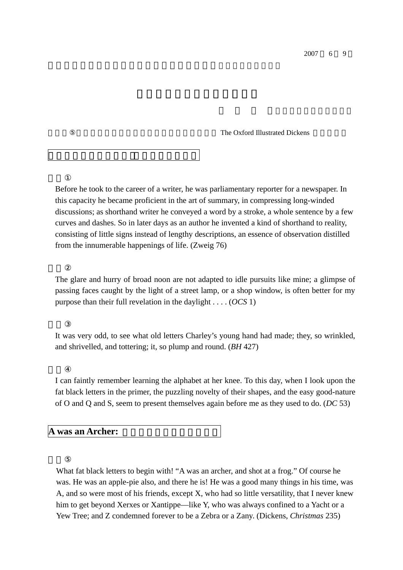2007 6 9

The Oxford Illustrated Dickens

Before he took to the career of a writer, he was parliamentary reporter for a newspaper. In this capacity he became proficient in the art of summary, in compressing long-winded discussions; as shorthand writer he conveyed a word by a stroke, a whole sentence by a few curves and dashes. So in later days as an author he invented a kind of shorthand to reality, consisting of little signs instead of lengthy descriptions, an essence of observation distilled from the innumerable happenings of life. (Zweig 76)

The glare and hurry of broad noon are not adapted to idle pursuits like mine; a glimpse of passing faces caught by the light of a street lamp, or a shop window, is often better for my purpose than their full revelation in the daylight . . . . (*OCS* 1)

It was very odd, to see what old letters Charley's young hand had made; they, so wrinkled, and shrivelled, and tottering; it, so plump and round. (*BH* 427)

I can faintly remember learning the alphabet at her knee. To this day, when I look upon the fat black letters in the primer, the puzzling novelty of their shapes, and the easy good-nature of O and Q and S, seem to present themselves again before me as they used to do. (*DC* 53)

**A was an Archer:** 

What fat black letters to begin with! "A was an archer, and shot at a frog." Of course he was. He was an apple-pie also, and there he is! He was a good many things in his time, was A, and so were most of his friends, except X, who had so little versatility, that I never knew him to get beyond Xerxes or Xantippe—like Y, who was always confined to a Yacht or a Yew Tree; and Z condemned forever to be a Zebra or a Zany. (Dickens, *Christmas* 235)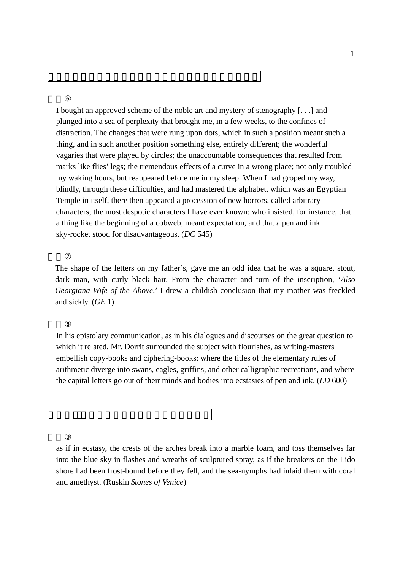I bought an approved scheme of the noble art and mystery of stenography [. . .] and plunged into a sea of perplexity that brought me, in a few weeks, to the confines of distraction. The changes that were rung upon dots, which in such a position meant such a thing, and in such another position something else, entirely different; the wonderful vagaries that were played by circles; the unaccountable consequences that resulted from marks like flies' legs; the tremendous effects of a curve in a wrong place; not only troubled my waking hours, but reappeared before me in my sleep. When I had groped my way, blindly, through these difficulties, and had mastered the alphabet, which was an Egyptian Temple in itself, there then appeared a procession of new horrors, called arbitrary characters; the most despotic characters I have ever known; who insisted, for instance, that a thing like the beginning of a cobweb, meant expectation, and that a pen and ink sky-rocket stood for disadvantageous. (*DC* 545)

The shape of the letters on my father's, gave me an odd idea that he was a square, stout, dark man, with curly black hair. From the character and turn of the inscription, '*Also Georgiana Wife of the Above*,' I drew a childish conclusion that my mother was freckled and sickly. (*GE* 1)

In his epistolary communication, as in his dialogues and discourses on the great question to which it related, Mr. Dorrit surrounded the subject with flourishes, as writing-masters embellish copy-books and ciphering-books: where the titles of the elementary rules of arithmetic diverge into swans, eagles, griffins, and other calligraphic recreations, and where the capital letters go out of their minds and bodies into ecstasies of pen and ink. (*LD* 600)

as if in ecstasy, the crests of the arches break into a marble foam, and toss themselves far into the blue sky in flashes and wreaths of sculptured spray, as if the breakers on the Lido shore had been frost-bound before they fell, and the sea-nymphs had inlaid them with coral and amethyst. (Ruskin *Stones of Venice*)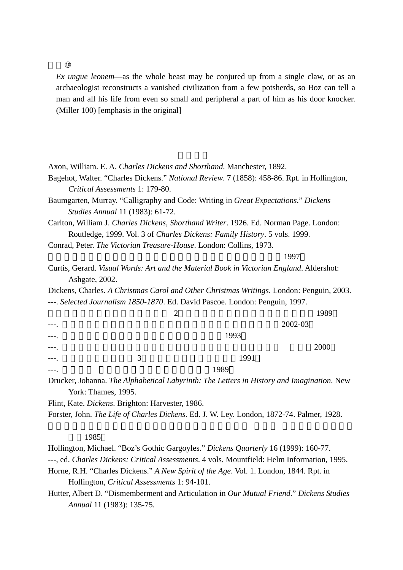*Ex ungue leonem*—as the whole beast may be conjured up from a single claw, or as an archaeologist reconstructs a vanished civilization from a few potsherds, so Boz can tell a man and all his life from even so small and peripheral a part of him as his door knocker. (Miller 100) [emphasis in the original]

Axon, William. E. A. *Charles Dickens and Shorthand*. Manchester, 1892.

Bagehot, Walter. "Charles Dickens." *National Review*. 7 (1858): 458-86. Rpt. in Hollington, *Critical Assessments* 1: 179-80.

Baumgarten, Murray. "Calligraphy and Code: Writing in *Great Expectations*." *Dickens Studies Annual* 11 (1983): 61-72.

Carlton, William J. *Charles Dickens, Shorthand Writer*. 1926. Ed. Norman Page. London: Routledge, 1999. Vol. 3 of *Charles Dickens: Family History*. 5 vols. 1999.

Conrad, Peter. *The Victorian Treasure-House*. London: Collins, 1973.

 $1997$ 

Curtis, Gerard. *Visual Words: Art and the Material Book in Victorian England*. Aldershot: Ashgate, 2002.

Dickens, Charles. *A Christmas Carol and Other Christmas Writings*. London: Penguin, 2003. ---. *Selected Journalism 1850-1870*. Ed. David Pascoe. London: Penguin, 1997.

|       |   | ◠<br>∼ |         | 1989 |
|-------|---|--------|---------|------|
|       |   |        | 2002-03 |      |
| $---$ |   | 1993   |         |      |
| ---.  |   |        |         | 2000 |
| $---$ | 3 | 1991   |         |      |
|       |   | 1989   |         |      |

Drucker, Johanna. *The Alphabetical Labyrinth: The Letters in History and Imagination*. New York: Thames, 1995.

Flint, Kate. *Dickens*. Brighton: Harvester, 1986.

Forster, John. *The Life of Charles Dickens*. Ed. J. W. Ley. London, 1872-74. Palmer, 1928.

1985

Hollington, Michael. "Boz's Gothic Gargoyles." *Dickens Quarterly* 16 (1999): 160-77.

---, ed. *Charles Dickens: Critical Assessments*. 4 vols. Mountfield: Helm Information, 1995.

Horne, R.H. "Charles Dickens." *A New Spirit of the Age*. Vol. 1. London, 1844. Rpt. in Hollington, *Critical Assessments* 1: 94-101.

Hutter, Albert D. "Dismemberment and Articulation in *Our Mutual Friend*." *Dickens Studies Annual* 11 (1983): 135-75.